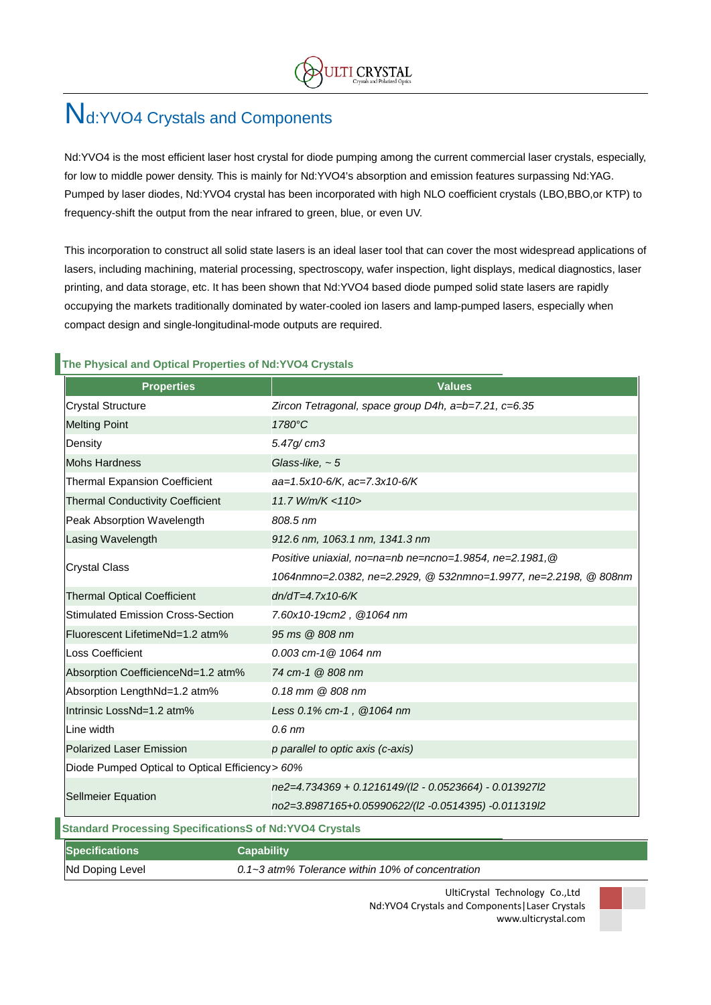# Nd:YVO4 Crystals and Components

Nd:YVO4 is the most efficient laser host crystal for diode pumping among the current commercial laser crystals, especially, for low to middle power density. This is mainly for Nd:YVO4's absorption and emission features surpassing Nd:YAG. Pumped by laser diodes, Nd:YVO4 crystal has been incorporated with high NLO coefficient crystals (LBO,BBO,or KTP) to frequency-shift the output from the near infrared to green, blue, or even UV.

This incorporation to construct all solid state lasers is an ideal laser tool that can cover the most widespread applications of lasers, including machining, material processing, spectroscopy, wafer inspection, light displays, medical diagnostics, laser printing, and data storage, etc. It has been shown that Nd:YVO4 based diode pumped solid state lasers are rapidly occupying the markets traditionally dominated by water-cooled ion lasers and lamp-pumped lasers, especially when compact design and single-longitudinal-mode outputs are required.

#### **The Physical and Optical Properties of Nd:YVO4 Crystals**

| <b>Properties</b>                                              | <b>Values</b>                                                    |  |  |  |  |
|----------------------------------------------------------------|------------------------------------------------------------------|--|--|--|--|
| <b>Crystal Structure</b>                                       | Zircon Tetragonal, space group D4h, a=b=7.21, c=6.35             |  |  |  |  |
| <b>Melting Point</b>                                           | 1780°C                                                           |  |  |  |  |
| Density                                                        | 5.47g/cm3                                                        |  |  |  |  |
| <b>Mohs Hardness</b>                                           | Glass-like, $\sim$ 5                                             |  |  |  |  |
| <b>Thermal Expansion Coefficient</b>                           | aa=1.5x10-6/K, ac=7.3x10-6/K                                     |  |  |  |  |
| <b>Thermal Conductivity Coefficient</b>                        | 11.7 W/m/K < 110                                                 |  |  |  |  |
| Peak Absorption Wavelength                                     | 808.5 nm                                                         |  |  |  |  |
| Lasing Wavelength                                              | 912.6 nm, 1063.1 nm, 1341.3 nm                                   |  |  |  |  |
|                                                                | Positive uniaxial, no=na=nb ne=ncno=1.9854, ne=2.1981, @         |  |  |  |  |
| <b>Crystal Class</b>                                           | 1064nmno=2.0382, ne=2.2929, @ 532nmno=1.9977, ne=2.2198, @ 808nm |  |  |  |  |
| <b>Thermal Optical Coefficient</b>                             | $dn/dT = 4.7x10-6/K$                                             |  |  |  |  |
| <b>Stimulated Emission Cross-Section</b>                       | 7.60x10-19cm2, @1064 nm                                          |  |  |  |  |
| Fluorescent LifetimeNd=1.2 atm%                                | 95 ms @ 808 nm                                                   |  |  |  |  |
| <b>Loss Coefficient</b>                                        | $0.003$ cm-1 $@$ 1064 nm                                         |  |  |  |  |
| Absorption CoefficienceNd=1.2 atm%                             | 74 cm-1 @ 808 nm                                                 |  |  |  |  |
| Absorption LengthNd=1.2 atm%                                   | 0.18 mm @ 808 nm                                                 |  |  |  |  |
| Intrinsic LossNd=1.2 atm%                                      | Less 0.1% cm-1, @1064 nm                                         |  |  |  |  |
| Line width                                                     | $0.6$ nm                                                         |  |  |  |  |
| Polarized Laser Emission                                       | p parallel to optic axis (c-axis)                                |  |  |  |  |
| Diode Pumped Optical to Optical Efficiency > 60%               |                                                                  |  |  |  |  |
|                                                                | ne2=4.734369 + 0.1216149/(l2 - 0.0523664) - 0.013927l2           |  |  |  |  |
| <b>Sellmeier Equation</b>                                      | no2=3.8987165+0.05990622/(l2 -0.0514395) -0.011319l2             |  |  |  |  |
| <b>Standard Processing SpecificationsS of Nd:YVO4 Crystals</b> |                                                                  |  |  |  |  |
| <b>Specifications</b><br><b>Capability</b>                     |                                                                  |  |  |  |  |
| Nd Doping Level                                                | 0.1~3 atm% Tolerance within 10% of concentration                 |  |  |  |  |

UltiCrystal Technology Co.,Ltd Nd:YVO4 Crystals and Components|Laser Crystals www.ulticrystal.com

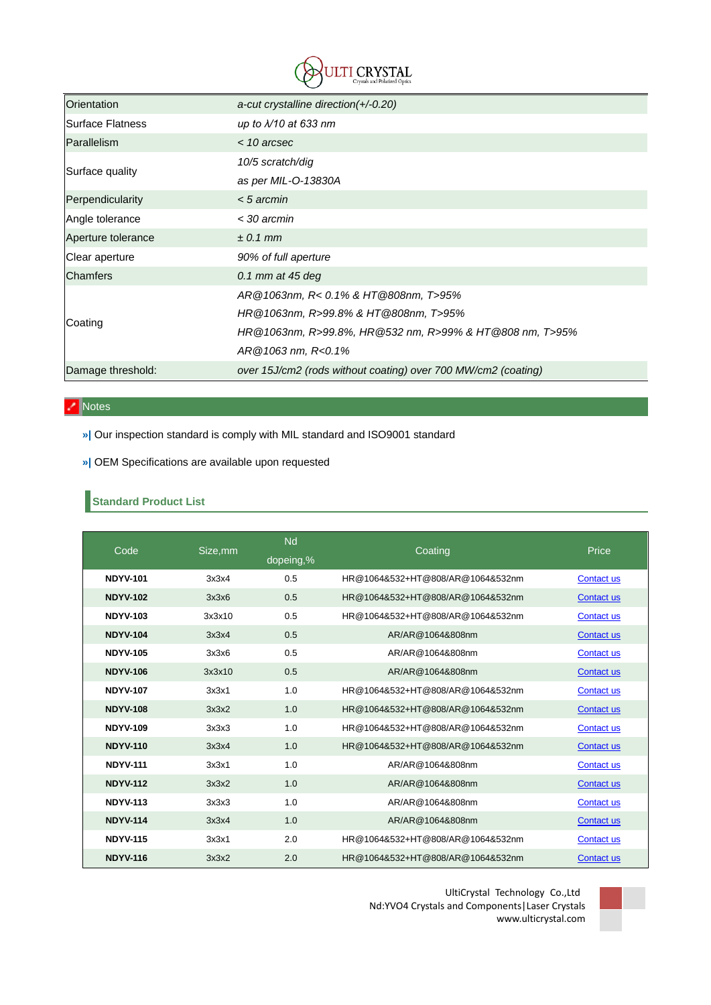

| Orientation        | a-cut crystalline direction $(+/-0.20)$                       |  |  |
|--------------------|---------------------------------------------------------------|--|--|
| Surface Flatness   | up to $\lambda$ /10 at 633 nm                                 |  |  |
| Parallelism        | $<$ 10 arcsec                                                 |  |  |
|                    | 10/5 scratch/dig                                              |  |  |
| Surface quality    | as per MIL-O-13830A                                           |  |  |
| Perpendicularity   | $< 5$ arcmin                                                  |  |  |
| Angle tolerance    | < 30 arcmin                                                   |  |  |
| Aperture tolerance | $\pm$ 0.1 mm                                                  |  |  |
| Clear aperture     | 90% of full aperture                                          |  |  |
| <b>Chamfers</b>    | 0.1 mm at $45$ deg                                            |  |  |
|                    | AR@1063nm, R< 0.1% & HT@808nm, T>95%                          |  |  |
|                    | HR@1063nm, R>99.8% & HT@808nm, T>95%                          |  |  |
| Coating            | HR@1063nm, R>99.8%, HR@532 nm, R>99% & HT@808 nm, T>95%       |  |  |
|                    | $AR@1063$ nm, $R<0.1%$                                        |  |  |
| Damage threshold:  | over 15J/cm2 (rods without coating) over 700 MW/cm2 (coating) |  |  |

## Notes

- **»|** Our inspection standard is comply with MIL standard and ISO9001 standard
- **»|** OEM Specifications are available upon requested

## **Standard Product List**

| Code            | Size, mm | <b>Nd</b> | Coating                          | Price             |
|-----------------|----------|-----------|----------------------------------|-------------------|
|                 |          | dopeing,% |                                  |                   |
| <b>NDYV-101</b> | 3x3x4    | 0.5       | HR@1064&532+HT@808/AR@1064&532nm | <b>Contact us</b> |
| <b>NDYV-102</b> | 3x3x6    | 0.5       | HR@1064&532+HT@808/AR@1064&532nm | <b>Contact us</b> |
| <b>NDYV-103</b> | 3x3x10   | 0.5       | HR@1064&532+HT@808/AR@1064&532nm | <b>Contact us</b> |
| <b>NDYV-104</b> | 3x3x4    | 0.5       | AR/AR@1064&808nm                 | Contact us        |
| <b>NDYV-105</b> | 3x3x6    | 0.5       | AR/AR@1064&808nm                 | <b>Contact us</b> |
| <b>NDYV-106</b> | 3x3x10   | 0.5       | AR/AR@1064&808nm                 | Contact us        |
| <b>NDYV-107</b> | 3x3x1    | 1.0       | HR@1064&532+HT@808/AR@1064&532nm | Contact us        |
| <b>NDYV-108</b> | 3x3x2    | 1.0       | HR@1064&532+HT@808/AR@1064&532nm | Contact us        |
| <b>NDYV-109</b> | 3x3x3    | 1.0       | HR@1064&532+HT@808/AR@1064&532nm | <b>Contact us</b> |
| <b>NDYV-110</b> | 3x3x4    | 1.0       | HR@1064&532+HT@808/AR@1064&532nm | <b>Contact us</b> |
| <b>NDYV-111</b> | 3x3x1    | 1.0       | AR/AR@1064&808nm                 | <b>Contact us</b> |
| <b>NDYV-112</b> | 3x3x2    | 1.0       | AR/AR@1064&808nm                 | Contact us        |
| <b>NDYV-113</b> | 3x3x3    | 1.0       | AR/AR@1064&808nm                 | <b>Contact us</b> |
| <b>NDYV-114</b> | 3x3x4    | 1.0       | AR/AR@1064&808nm                 | Contact us        |
| <b>NDYV-115</b> | 3x3x1    | 2.0       | HR@1064&532+HT@808/AR@1064&532nm | Contact us        |
| <b>NDYV-116</b> | 3x3x2    | 2.0       | HR@1064&532+HT@808/AR@1064&532nm | <b>Contact us</b> |